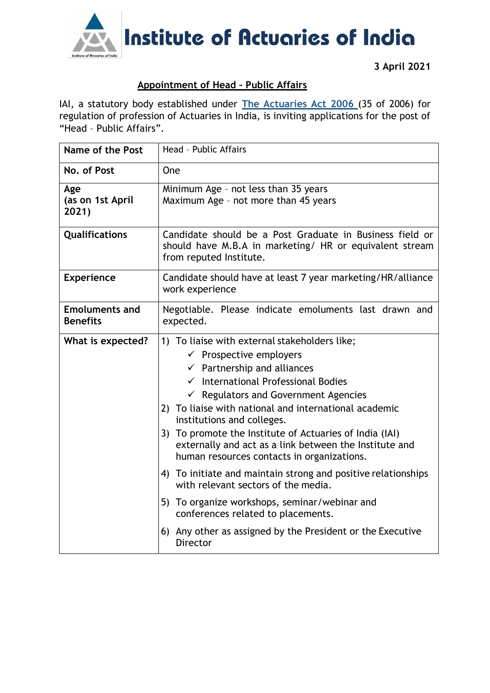

**3 April 2021**

## **Appointment of Head – Public Affairs**

IAI, a statutory body established under **[The Actuaries Act 2006](http://www.actuariesindia.org/guidance/scanned%20GN.pdf)** (35 of 2006) for regulation of profession of Actuaries in India, is inviting applications for the post of "Head – Public Affairs".

| <b>Name of the Post</b>                  | Head - Public Affairs                                                                                                                                                                                                                                                                                                                                                                                                                                                                                                                                                                                                                                                                                                                                                 |
|------------------------------------------|-----------------------------------------------------------------------------------------------------------------------------------------------------------------------------------------------------------------------------------------------------------------------------------------------------------------------------------------------------------------------------------------------------------------------------------------------------------------------------------------------------------------------------------------------------------------------------------------------------------------------------------------------------------------------------------------------------------------------------------------------------------------------|
| No. of Post                              | One                                                                                                                                                                                                                                                                                                                                                                                                                                                                                                                                                                                                                                                                                                                                                                   |
| Age<br>(as on 1st April<br>2021)         | Minimum Age - not less than 35 years<br>Maximum Age - not more than 45 years                                                                                                                                                                                                                                                                                                                                                                                                                                                                                                                                                                                                                                                                                          |
| Qualifications                           | Candidate should be a Post Graduate in Business field or<br>should have M.B.A in marketing/ HR or equivalent stream<br>from reputed Institute.                                                                                                                                                                                                                                                                                                                                                                                                                                                                                                                                                                                                                        |
| <b>Experience</b>                        | Candidate should have at least 7 year marketing/HR/alliance<br>work experience                                                                                                                                                                                                                                                                                                                                                                                                                                                                                                                                                                                                                                                                                        |
| <b>Emoluments and</b><br><b>Benefits</b> | Negotiable. Please indicate emoluments last drawn and<br>expected.                                                                                                                                                                                                                                                                                                                                                                                                                                                                                                                                                                                                                                                                                                    |
| What is expected?                        | 1) To liaise with external stakeholders like;<br>$\checkmark$ Prospective employers<br>$\checkmark$ Partnership and alliances<br>$\checkmark$ International Professional Bodies<br>$\checkmark$ Regulators and Government Agencies<br>2) To liaise with national and international academic<br>institutions and colleges.<br>3) To promote the Institute of Actuaries of India (IAI)<br>externally and act as a link between the Institute and<br>human resources contacts in organizations.<br>4) To initiate and maintain strong and positive relationships<br>with relevant sectors of the media.<br>5) To organize workshops, seminar/webinar and<br>conferences related to placements.<br>6) Any other as assigned by the President or the Executive<br>Director |